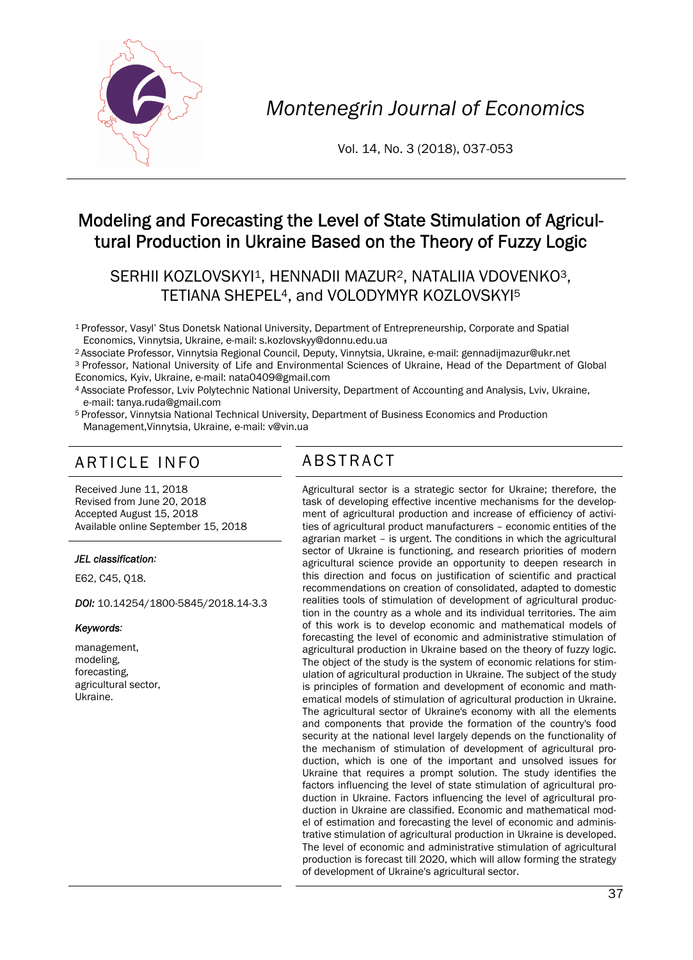

*Montenegrin Journal of Economics* 

Vol. 14, No. 3 (2018), 037-053

# Modeling and Forecasting the Level of State Stimulation of Agricultural Production in Ukraine Based on the Theory of Fuzzy Logic

## SERHII KOZLOVSKYI<sup>1</sup>, HENNADII MAZUR<sup>2</sup>, NATALIIA VDOVENKO<sup>3</sup>, TETIANA SHEPEL4, and VOLODYMYR KOZLOVSKYI5

- 1 Professor, Vasyl' Stus Donetsk National University, Department of Entrepreneurship, Corporate and Spatial
- Economics, Vinnytsia, Ukraine, e-mail: s.kozlovskyy@donnu.edu.ua
- <sup>3</sup> Professor, National University of Life and Environmental Sciences of Ukraine, Head of the Department of Global
- Economics, Kyiv, Ukraine, e-mail: nata0409@gmail.com<br>4 Associate Professor, Lviv Polytechnic National University, Department of Accounting and Analysis, Lviv, Ukraine, e-mail: tanya.ruda@gmail.com
- 5 Professor, Vinnytsia National Technical University, Department of Business Economics and Production Management,Vinnytsia, Ukraine, e-mail: v@vin.ua

# ARTICLE INFO ABSTRACT

Received June 11, 2018 Revised from June 20, 2018 Accepted August 15, 2018 Available online September 15, 2018

#### *JEL classification:*

E62, C45, Q18.

*DOI:* 10.14254/1800-5845/2018.14-3.3

#### *Keywords:*

management, modeling, forecasting, agricultural sector, Ukraine.

 Agricultural sector is a strategic sector for Ukraine; therefore, the task of developing effective incentive mechanisms for the development of agricultural production and increase of efficiency of activities of agricultural product manufacturers – economic entities of the agrarian market – is urgent. The conditions in which the agricultural sector of Ukraine is functioning, and research priorities of modern agricultural science provide an opportunity to deepen research in this direction and focus on justification of scientific and practical recommendations on creation of consolidated, adapted to domestic realities tools of stimulation of development of agricultural production in the country as a whole and its individual territories. The aim of this work is to develop economic and mathematical models of forecasting the level of economic and administrative stimulation of agricultural production in Ukraine based on the theory of fuzzy logic. The object of the study is the system of economic relations for stimulation of agricultural production in Ukraine. The subject of the study is principles of formation and development of economic and mathematical models of stimulation of agricultural production in Ukraine. The agricultural sector of Ukraine's economy with all the elements and components that provide the formation of the country's food security at the national level largely depends on the functionality of the mechanism of stimulation of development of agricultural production, which is one of the important and unsolved issues for Ukraine that requires a prompt solution. The study identifies the factors influencing the level of state stimulation of agricultural production in Ukraine. Factors influencing the level of agricultural production in Ukraine are classified. Economic and mathematical model of estimation and forecasting the level of economic and administrative stimulation of agricultural production in Ukraine is developed. The level of economic and administrative stimulation of agricultural production is forecast till 2020, which will allow forming the strategy of development of Ukraine's agricultural sector.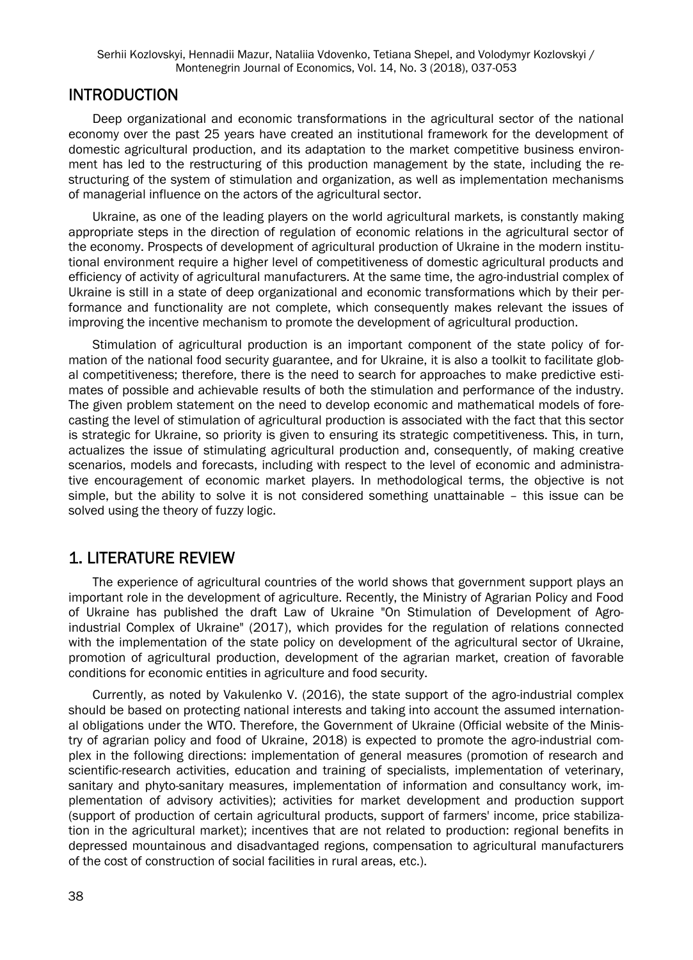#### INTRODUCTION

Deep organizational and economic transformations in the agricultural sector of the national economy over the past 25 years have created an institutional framework for the development of domestic agricultural production, and its adaptation to the market competitive business environment has led to the restructuring of this production management by the state, including the restructuring of the system of stimulation and organization, as well as implementation mechanisms of managerial influence on the actors of the agricultural sector.

Ukraine, as one of the leading players on the world agricultural markets, is constantly making appropriate steps in the direction of regulation of economic relations in the agricultural sector of the economy. Prospects of development of agricultural production of Ukraine in the modern institutional environment require a higher level of competitiveness of domestic agricultural products and efficiency of activity of agricultural manufacturers. At the same time, the agro-industrial complex of Ukraine is still in a state of deep organizational and economic transformations which by their performance and functionality are not complete, which consequently makes relevant the issues of improving the incentive mechanism to promote the development of agricultural production.

Stimulation of agricultural production is an important component of the state policy of formation of the national food security guarantee, and for Ukraine, it is also a toolkit to facilitate global competitiveness; therefore, there is the need to search for approaches to make predictive estimates of possible and achievable results of both the stimulation and performance of the industry. The given problem statement on the need to develop economic and mathematical models of forecasting the level of stimulation of agricultural production is associated with the fact that this sector is strategic for Ukraine, so priority is given to ensuring its strategic competitiveness. This, in turn, actualizes the issue of stimulating agricultural production and, consequently, of making creative scenarios, models and forecasts, including with respect to the level of economic and administrative encouragement of economic market players. In methodological terms, the objective is not simple, but the ability to solve it is not considered something unattainable – this issue can be solved using the theory of fuzzy logic.

### 1. LITERATURE REVIEW

The experience of agricultural countries of the world shows that government support plays an important role in the development of agriculture. Recently, the Ministry of Agrarian Policy and Food of Ukraine has published the draft Law of Ukraine "On Stimulation of Development of Agroindustrial Complex of Ukraine" (2017), which provides for the regulation of relations connected with the implementation of the state policy on development of the agricultural sector of Ukraine, promotion of agricultural production, development of the agrarian market, creation of favorable conditions for economic entities in agriculture and food security.

Currently, as noted by Vakulenko V. (2016), the state support of the agro-industrial complex should be based on protecting national interests and taking into account the assumed international obligations under the WTO. Therefore, the Government of Ukraine (Official website of the Ministry of agrarian policy and food of Ukraine, 2018) is expected to promote the agro-industrial complex in the following directions: implementation of general measures (promotion of research and scientific-research activities, education and training of specialists, implementation of veterinary, sanitary and phyto-sanitary measures, implementation of information and consultancy work, implementation of advisory activities); activities for market development and production support (support of production of certain agricultural products, support of farmers' income, price stabilization in the agricultural market); incentives that are not related to production: regional benefits in depressed mountainous and disadvantaged regions, compensation to agricultural manufacturers of the cost of construction of social facilities in rural areas, etc.).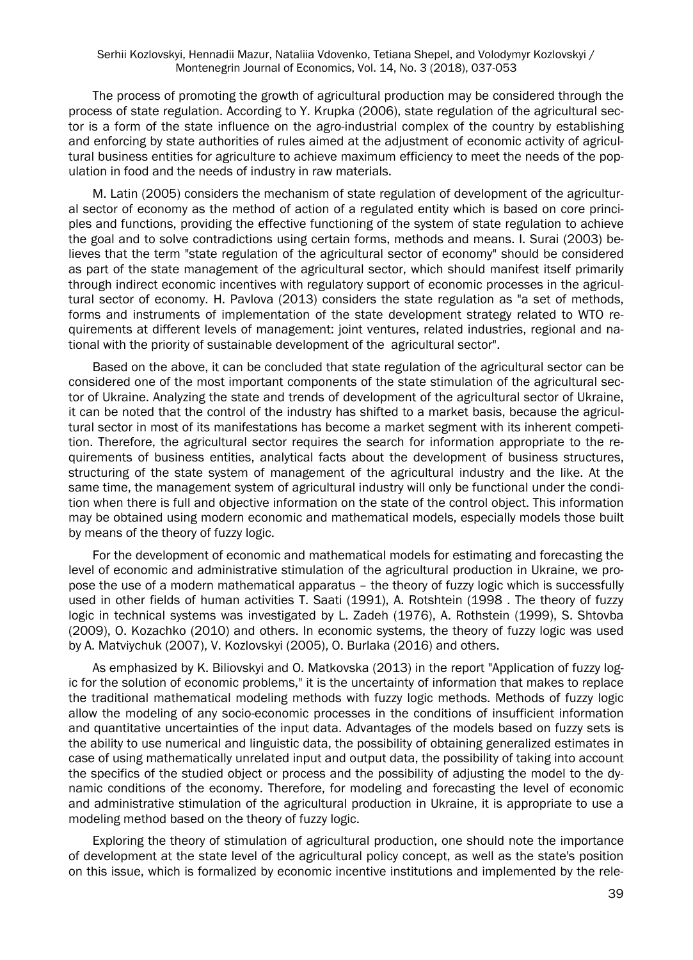The process of promoting the growth of agricultural production may be considered through the process of state regulation. According to Y. Krupka (2006), state regulation of the agricultural sector is a form of the state influence on the agro-industrial complex of the country by establishing and enforcing by state authorities of rules aimed at the adjustment of economic activity of agricultural business entities for agriculture to achieve maximum efficiency to meet the needs of the population in food and the needs of industry in raw materials.

M. Latin (2005) considers the mechanism of state regulation of development of the agricultural sector of economy as the method of action of a regulated entity which is based on core principles and functions, providing the effective functioning of the system of state regulation to achieve the goal and to solve contradictions using certain forms, methods and means. I. Surai (2003) believes that the term "state regulation of the agricultural sector of economy" should be considered as part of the state management of the agricultural sector, which should manifest itself primarily through indirect economic incentives with regulatory support of economic processes in the agricultural sector of economy. H. Pavlova (2013) considers the state regulation as "a set of methods, forms and instruments of implementation of the state development strategy related to WTO requirements at different levels of management: joint ventures, related industries, regional and national with the priority of sustainable development of the agricultural sector".

Based on the above, it can be concluded that state regulation of the agricultural sector can be considered one of the most important components of the state stimulation of the agricultural sector of Ukraine. Analyzing the state and trends of development of the agricultural sector of Ukraine, it can be noted that the control of the industry has shifted to a market basis, because the agricultural sector in most of its manifestations has become a market segment with its inherent competition. Therefore, the agricultural sector requires the search for information appropriate to the requirements of business entities, analytical facts about the development of business structures, structuring of the state system of management of the agricultural industry and the like. At the same time, the management system of agricultural industry will only be functional under the condition when there is full and objective information on the state of the control object. This information may be obtained using modern economic and mathematical models, especially models those built by means of the theory of fuzzy logic.

For the development of economic and mathematical models for estimating and forecasting the level of economic and administrative stimulation of the agricultural production in Ukraine, we propose the use of a modern mathematical apparatus – the theory of fuzzy logic which is successfully used in other fields of human activities T. Saati (1991), A. Rotshtein (1998 . The theory of fuzzy logic in technical systems was investigated by L. Zadeh (1976), A. Rothstein (1999), S. Shtovba (2009), O. Kozachko (2010) and others. In economic systems, the theory of fuzzy logic was used by A. Matviychuk (2007), V. Kozlovskyi (2005), O. Burlaka (2016) and others.

As emphasized by K. Biliovskyi and O. Matkovska (2013) in the report "Application of fuzzy logic for the solution of economic problems," it is the uncertainty of information that makes to replace the traditional mathematical modeling methods with fuzzy logic methods. Methods of fuzzy logic allow the modeling of any socio-economic processes in the conditions of insufficient information and quantitative uncertainties of the input data. Advantages of the models based on fuzzy sets is the ability to use numerical and linguistic data, the possibility of obtaining generalized estimates in case of using mathematically unrelated input and output data, the possibility of taking into account the specifics of the studied object or process and the possibility of adjusting the model to the dynamic conditions of the economy. Therefore, for modeling and forecasting the level of economic and administrative stimulation of the agricultural production in Ukraine, it is appropriate to use a modeling method based on the theory of fuzzy logic.

Exploring the theory of stimulation of agricultural production, one should note the importance of development at the state level of the agricultural policy concept, as well as the state's position on this issue, which is formalized by economic incentive institutions and implemented by the rele-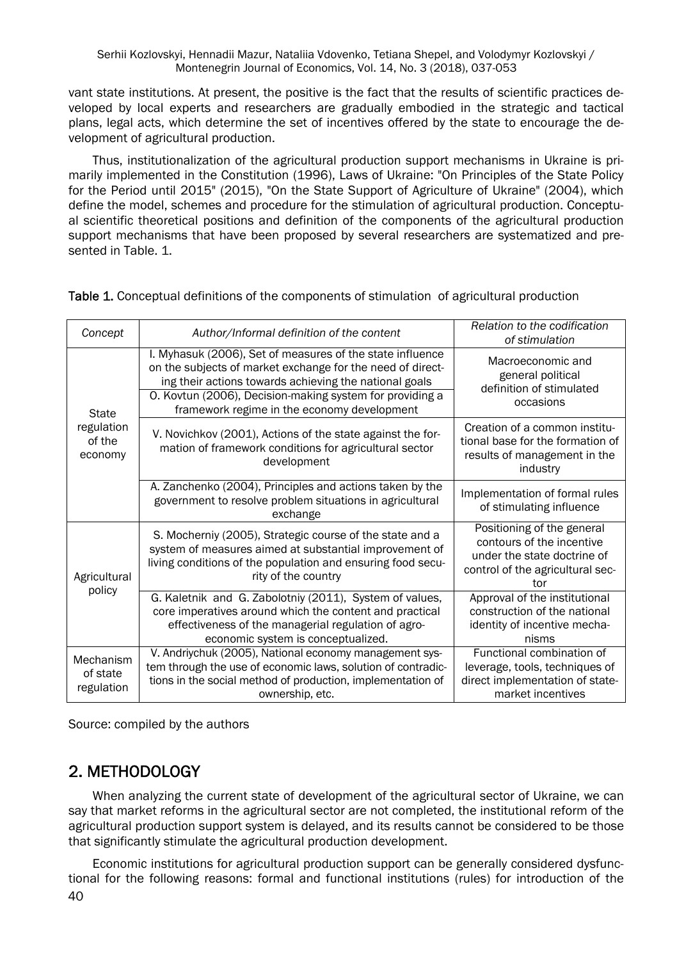vant state institutions. At present, the positive is the fact that the results of scientific practices developed by local experts and researchers are gradually embodied in the strategic and tactical plans, legal acts, which determine the set of incentives offered by the state to encourage the development of agricultural production.

Thus, institutionalization of the agricultural production support mechanisms in Ukraine is primarily implemented in the Constitution (1996), Laws of Ukraine: "On Principles of the State Policy for the Period until 2015" (2015), "On the State Support of Agriculture of Ukraine" (2004), which define the model, schemes and procedure for the stimulation of agricultural production. Conceptual scientific theoretical positions and definition of the components of the agricultural production support mechanisms that have been proposed by several researchers are systematized and presented in Table. 1.

| Concept                                         | Author/Informal definition of the content                                                                                                                                                                                                                                                    | Relation to the codification<br>of stimulation                                                                                    |  |
|-------------------------------------------------|----------------------------------------------------------------------------------------------------------------------------------------------------------------------------------------------------------------------------------------------------------------------------------------------|-----------------------------------------------------------------------------------------------------------------------------------|--|
| <b>State</b><br>regulation<br>of the<br>economy | I. Myhasuk (2006), Set of measures of the state influence<br>on the subjects of market exchange for the need of direct-<br>ing their actions towards achieving the national goals<br>O. Kovtun (2006), Decision-making system for providing a<br>framework regime in the economy development | Macroeconomic and<br>general political<br>definition of stimulated<br>occasions                                                   |  |
|                                                 | V. Novichkov (2001), Actions of the state against the for-<br>mation of framework conditions for agricultural sector<br>development                                                                                                                                                          | Creation of a common institu-<br>tional base for the formation of<br>results of management in the<br>industry                     |  |
|                                                 | A. Zanchenko (2004), Principles and actions taken by the<br>government to resolve problem situations in agricultural<br>exchange                                                                                                                                                             | Implementation of formal rules<br>of stimulating influence                                                                        |  |
| Agricultural<br>policy                          | S. Mocherniy (2005), Strategic course of the state and a<br>system of measures aimed at substantial improvement of<br>living conditions of the population and ensuring food secu-<br>rity of the country                                                                                     | Positioning of the general<br>contours of the incentive<br>under the state doctrine of<br>control of the agricultural sec-<br>tor |  |
|                                                 | G. Kaletnik and G. Zabolotniy (2011), System of values,<br>core imperatives around which the content and practical<br>effectiveness of the managerial regulation of agro-<br>economic system is conceptualized.                                                                              | Approval of the institutional<br>construction of the national<br>identity of incentive mecha-<br>nisms                            |  |
| Mechanism<br>of state<br>regulation             | V. Andriychuk (2005), National economy management sys-<br>tem through the use of economic laws, solution of contradic-<br>tions in the social method of production, implementation of<br>ownership, etc.                                                                                     | Functional combination of<br>leverage, tools, techniques of<br>direct implementation of state-<br>market incentives               |  |

Table 1. Conceptual definitions of the components of stimulation of agricultural production

Source: compiled by the authors

## 2. METHODOLOGY

When analyzing the current state of development of the agricultural sector of Ukraine, we can say that market reforms in the agricultural sector are not completed, the institutional reform of the agricultural production support system is delayed, and its results cannot be considered to be those that significantly stimulate the agricultural production development.

40 Economic institutions for agricultural production support can be generally considered dysfunctional for the following reasons: formal and functional institutions (rules) for introduction of the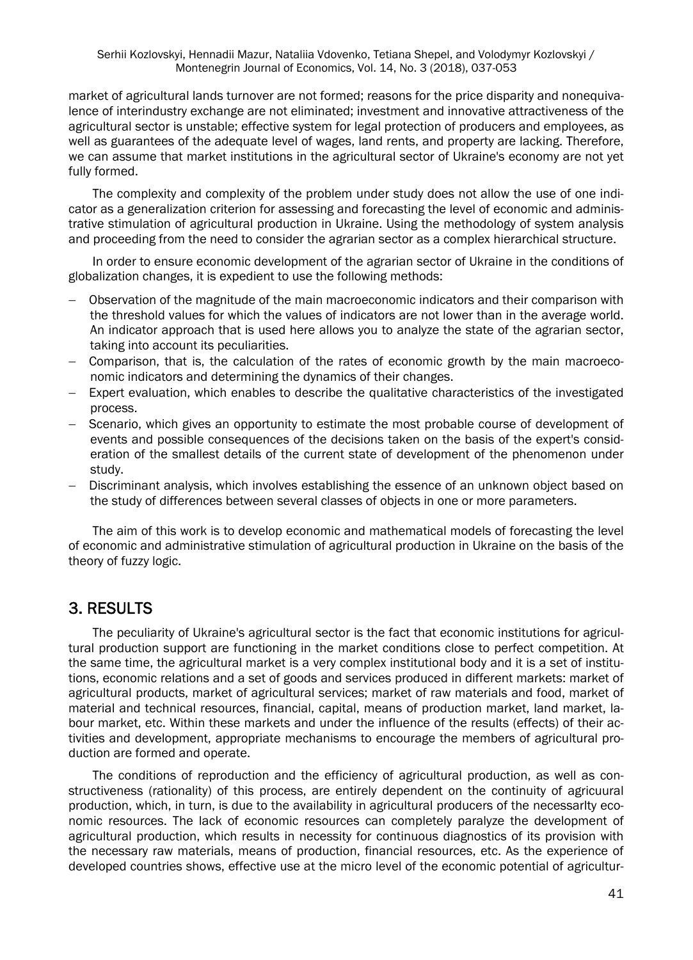market of agricultural lands turnover are not formed; reasons for the price disparity and nonequivalence of interindustry exchange are not eliminated; investment and innovative attractiveness of the agricultural sector is unstable; effective system for legal protection of producers and employees, as well as guarantees of the adequate level of wages, land rents, and property are lacking. Therefore, we can assume that market institutions in the agricultural sector of Ukraine's economy are not yet fully formed.

The complexity and complexity of the problem under study does not allow the use of one indicator as a generalization criterion for assessing and forecasting the level of economic and administrative stimulation of agricultural production in Ukraine. Using the methodology of system analysis and proceeding from the need to consider the agrarian sector as a complex hierarchical structure.

In order to ensure economic development of the agrarian sector of Ukraine in the conditions of globalization changes, it is expedient to use the following methods:

- Observation of the magnitude of the main macroeconomic indicators and their comparison with the threshold values for which the values of indicators are not lower than in the average world. An indicator approach that is used here allows you to analyze the state of the agrarian sector, taking into account its peculiarities.
- Comparison, that is, the calculation of the rates of economic growth by the main macroeconomic indicators and determining the dynamics of their changes.
- Expert evaluation, which enables to describe the qualitative characteristics of the investigated process.
- Scenario, which gives an opportunity to estimate the most probable course of development of events and possible consequences of the decisions taken on the basis of the expert's consideration of the smallest details of the current state of development of the phenomenon under study.
- Discriminant analysis, which involves establishing the essence of an unknown object based on the study of differences between several classes of objects in one or more parameters.

The aim of this work is to develop economic and mathematical models of forecasting the level of economic and administrative stimulation of agricultural production in Ukraine on the basis of the theory of fuzzy logic.

## 3. RESULTS

The peculiarity of Ukraine's agricultural sector is the fact that economic institutions for agricultural production support are functioning in the market conditions close to perfect competition. At the same time, the agricultural market is a very complex institutional body and it is a set of institutions, economic relations and a set of goods and services produced in different markets: market of agricultural products, market of agricultural services; market of raw materials and food, market of material and technical resources, financial, capital, means of production market, land market, labour market, etc. Within these markets and under the influence of the results (effects) of their activities and development, appropriate mechanisms to encourage the members of agricultural production are formed and operate.

The conditions of reproduction and the efficiency of agricultural production, as well as constructiveness (rationality) of this process, are entirely dependent on the continuity of agricuural production, which, in turn, is due to the availability in agricultural producers of the necessarlty economic resources. The lack of economic resources can completely paralyze the development of agricultural production, which results in necessity for continuous diagnostics of its provision with the necessary raw materials, means of production, financial resources, etc. As the experience of developed countries shows, effective use at the micro level of the economic potential of agricultur-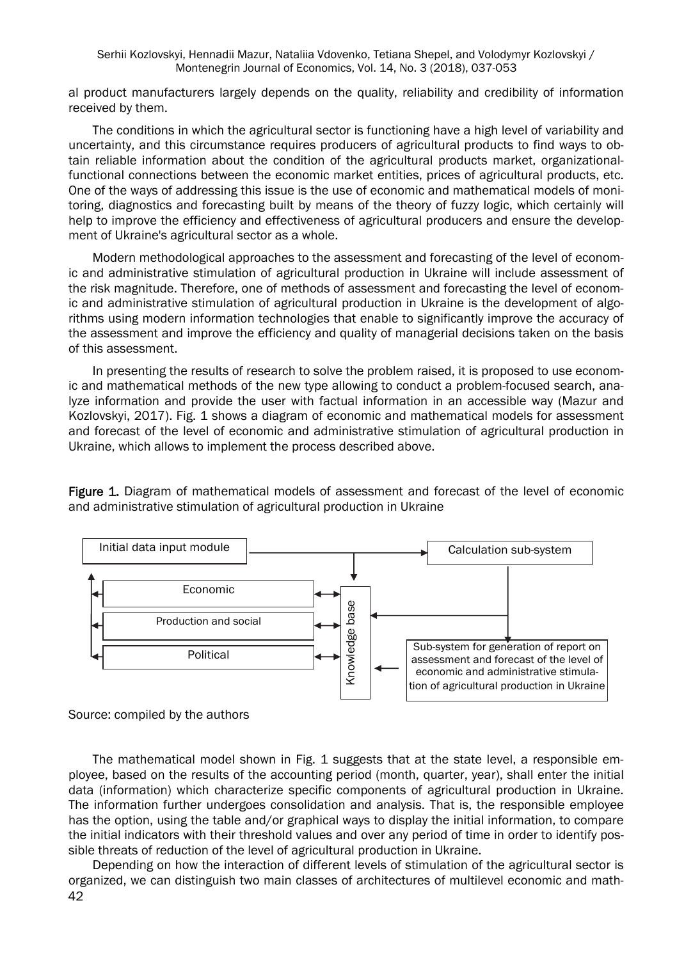al product manufacturers largely depends on the quality, reliability and credibility of information received by them.

The conditions in which the agricultural sector is functioning have a high level of variability and uncertainty, and this circumstance requires producers of agricultural products to find ways to obtain reliable information about the condition of the agricultural products market, organizationalfunctional connections between the economic market entities, prices of agricultural products, etc. One of the ways of addressing this issue is the use of economic and mathematical models of monitoring, diagnostics and forecasting built by means of the theory of fuzzy logic, which certainly will help to improve the efficiency and effectiveness of agricultural producers and ensure the development of Ukraine's agricultural sector as a whole.

Modern methodological approaches to the assessment and forecasting of the level of economic and administrative stimulation of agricultural production in Ukraine will include assessment of the risk magnitude. Therefore, one of methods of assessment and forecasting the level of economic and administrative stimulation of agricultural production in Ukraine is the development of algorithms using modern information technologies that enable to significantly improve the accuracy of the assessment and improve the efficiency and quality of managerial decisions taken on the basis of this assessment.

In presenting the results of research to solve the problem raised, it is proposed to use economic and mathematical methods of the new type allowing to conduct a problem-focused search, analyze information and provide the user with factual information in an accessible way (Mazur and Kozlovskyi, 2017). Fig. 1 shows a diagram of economic and mathematical models for assessment and forecast of the level of economic and administrative stimulation of agricultural production in Ukraine, which allows to implement the process described above.

Figure 1. Diagram of mathematical models of assessment and forecast of the level of economic and administrative stimulation of agricultural production in Ukraine



Source: compiled by the authors

The mathematical model shown in Fig. 1 suggests that at the state level, a responsible employee, based on the results of the accounting period (month, quarter, year), shall enter the initial data (information) which characterize specific components of agricultural production in Ukraine. The information further undergoes consolidation and analysis. That is, the responsible employee has the option, using the table and/or graphical ways to display the initial information, to compare the initial indicators with their threshold values and over any period of time in order to identify possible threats of reduction of the level of agricultural production in Ukraine.

42 Depending on how the interaction of different levels of stimulation of the agricultural sector is organized, we can distinguish two main classes of architectures of multilevel economic and math-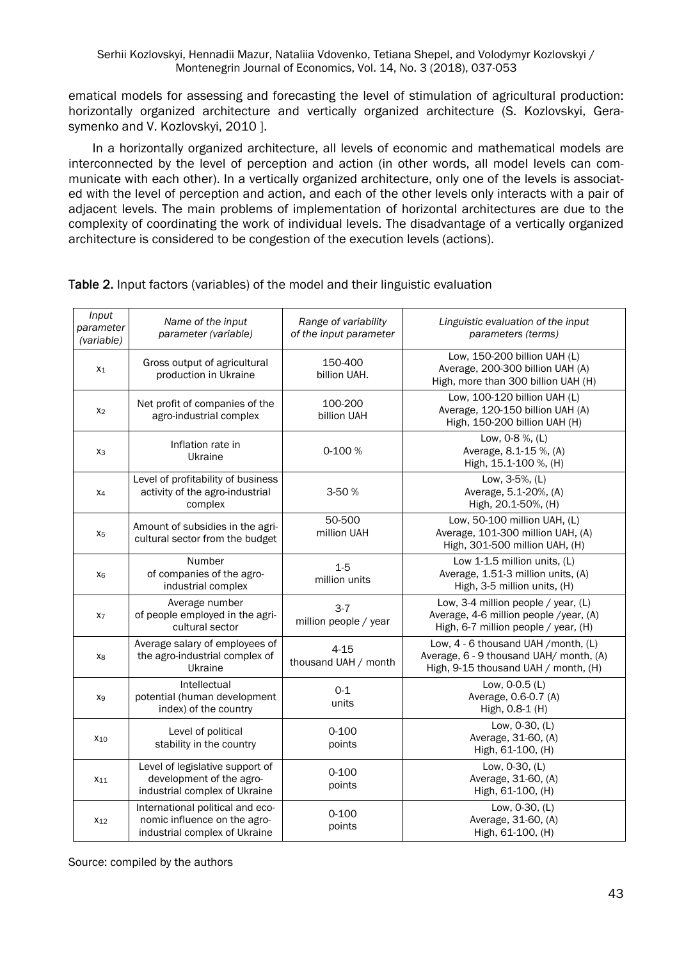ematical models for assessing and forecasting the level of stimulation of agricultural production: horizontally organized architecture and vertically organized architecture (S. Kozlovskyi, Gerasymenko and V. Kozlovskyi, 2010 ].

In a horizontally organized architecture, all levels of economic and mathematical models are interconnected by the level of perception and action (in other words, all model levels can communicate with each other). In a vertically organized architecture, only one of the levels is associated with the level of perception and action, and each of the other levels only interacts with a pair of adjacent levels. The main problems of implementation of horizontal architectures are due to the complexity of coordinating the work of individual levels. The disadvantage of a vertically organized architecture is considered to be congestion of the execution levels (actions).

| Input<br>parameter<br>(variable) | Name of the input<br>parameter (variable)                                                         | Range of variability<br>of the input parameter | Linguistic evaluation of the input<br>parameters (terms)                                                                |
|----------------------------------|---------------------------------------------------------------------------------------------------|------------------------------------------------|-------------------------------------------------------------------------------------------------------------------------|
| $X_1$                            | Gross output of agricultural<br>production in Ukraine                                             | 150-400<br>billion UAH.                        | Low, 150-200 billion UAH (L)<br>Average, 200-300 billion UAH (A)<br>High, more than 300 billion UAH (H)                 |
| X <sub>2</sub>                   | Net profit of companies of the<br>agro-industrial complex                                         | 100-200<br>billion UAH                         | Low, 100-120 billion UAH (L)<br>Average, 120-150 billion UAH (A)<br>High, 150-200 billion UAH (H)                       |
| X <sub>3</sub>                   | Inflation rate in<br>Ukraine                                                                      | 0-100 %                                        | Low, 0-8 %, (L)<br>Average, 8.1-15 %, (A)<br>High, 15.1-100 %, (H)                                                      |
| X <sub>4</sub>                   | Level of profitability of business<br>activity of the agro-industrial<br>complex                  | 3-50 %                                         | Low, 3-5%, (L)<br>Average, 5.1-20%, (A)<br>High, 20.1-50%, (H)                                                          |
| X <sub>5</sub>                   | Amount of subsidies in the agri-<br>cultural sector from the budget                               | 50-500<br>million UAH                          | Low, 50-100 million UAH, (L)<br>Average, 101-300 million UAH, (A)<br>High, 301-500 million UAH, (H)                     |
| X <sub>6</sub>                   | Number<br>of companies of the agro-<br>industrial complex                                         | $1 - 5$<br>million units                       | Low 1-1.5 million units, (L)<br>Average, 1.51-3 million units, (A)<br>High, 3-5 million units, (H)                      |
| X <sub>7</sub>                   | Average number<br>of people employed in the agri-<br>cultural sector                              | $3 - 7$<br>million people / year               | Low, 3-4 million people / year, (L)<br>Average, 4-6 million people /year, (A)<br>High, 6-7 million people / year, (H)   |
| X8                               | Average salary of employees of<br>the agro-industrial complex of<br>Ukraine                       | $4 - 15$<br>thousand UAH / month               | Low, 4 - 6 thousand UAH / month, (L)<br>Average, 6 - 9 thousand UAH/ month, (A)<br>High, 9-15 thousand UAH / month, (H) |
| X9                               | Intellectual<br>potential (human development<br>index) of the country                             | $0 - 1$<br>units                               | Low, 0-0.5 (L)<br>Average, 0.6-0.7 (A)<br>High, 0.8-1 (H)                                                               |
| X <sub>10</sub>                  | Level of political<br>stability in the country                                                    | $0 - 100$<br>points                            | Low, 0-30, (L)<br>Average, 31-60, (A)<br>High, 61-100, (H)                                                              |
| $X_{11}$                         | Level of legislative support of<br>development of the agro-<br>industrial complex of Ukraine      | $0 - 100$<br>points                            | Low, 0-30, (L)<br>Average, 31-60, (A)<br>High, 61-100, (H)                                                              |
| $X_{12}$                         | International political and eco-<br>nomic influence on the agro-<br>industrial complex of Ukraine | $0 - 100$<br>points                            | Low, 0-30, (L)<br>Average, 31-60, (A)<br>High, 61-100, (H)                                                              |

Table 2. Input factors (variables) of the model and their linguistic evaluation

Source: compiled by the authors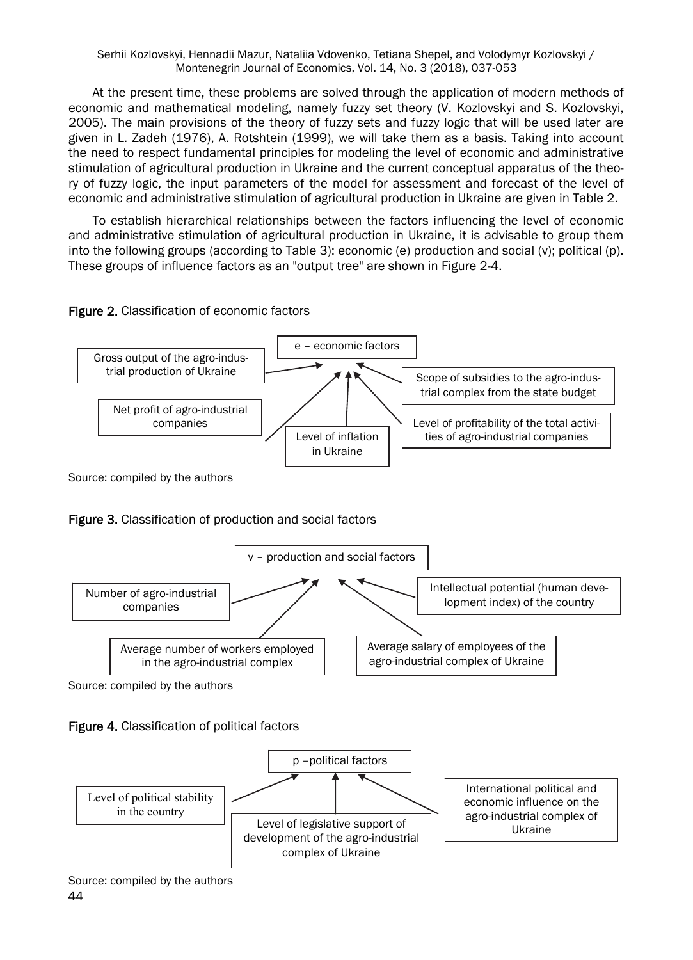At the present time, these problems are solved through the application of modern methods of economic and mathematical modeling, namely fuzzy set theory (V. Kozlovskyi and S. Kozlovskyi, 2005). The main provisions of the theory of fuzzy sets and fuzzy logic that will be used later are given in L. Zadeh (1976), A. Rotshtein (1999), we will take them as a basis. Taking into account the need to respect fundamental principles for modeling the level of economic and administrative stimulation of agricultural production in Ukraine and the current conceptual apparatus of the theory of fuzzy logic, the input parameters of the model for assessment and forecast of the level of economic and administrative stimulation of agricultural production in Ukraine are given in Table 2.

To establish hierarchical relationships between the factors influencing the level of economic and administrative stimulation of agricultural production in Ukraine, it is advisable to group them into the following groups (according to Table 3): economic (e) production and social (v); political (p). These groups of influence factors as an "output tree" are shown in Figure 2-4.

#### Figure 2. Classification of economic factors



Figure 3. Classification of production and social factors



Source: compiled by the authors





Source: compiled by the authors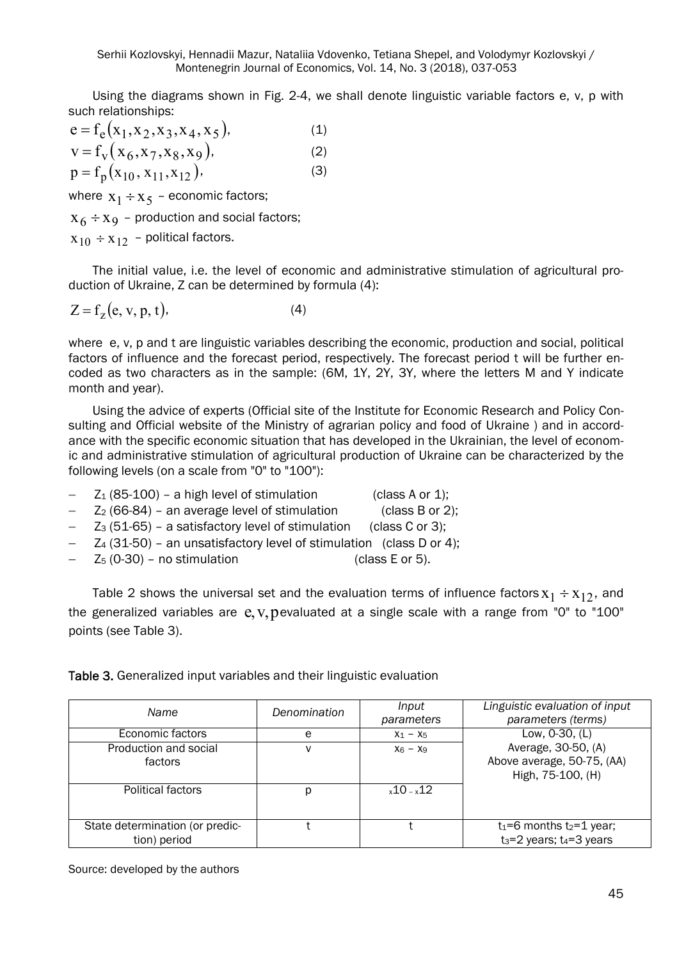Using the diagrams shown in Fig. 2-4, we shall denote linguistic variable factors e, v, p with such relationships:

$$
e = f_e(x_1, x_2, x_3, x_4, x_5),
$$
  
\n
$$
v = f_v(x_6, x_7, x_8, x_9),
$$
  
\n
$$
p = f_p(x_{10}, x_{11}, x_{12}),
$$
  
\n(3)

where  $x_1 \div x_5$  – economic factors;

 $X_6 \div X_9$  – production and social factors;

 $x_{10} \div x_{12}$  – political factors.

The initial value, i.e. the level of economic and administrative stimulation of agricultural production of Ukraine, Z can be determined by formula (4):

$$
Z = fz(e, v, p, t),
$$
 (4)

where e, v, p and t are linguistic variables describing the economic, production and social, political factors of influence and the forecast period, respectively. The forecast period t will be further encoded as two characters as in the sample: (6M, 1Y, 2Y, 3Y, where the letters M and Y indicate month and year).

Using the advice of experts (Official site of the Institute for Economic Research and Policy Consulting and Official website of the Ministry of agrarian policy and food of Ukraine ) and in accordance with the specific economic situation that has developed in the Ukrainian, the level of economic and administrative stimulation of agricultural production of Ukraine can be characterized by the following levels (on a scale from "0" to "100"):

- $-$  Z<sub>1</sub> (85-100) a high level of stimulation (class A or 1);
	- $Z_2$  (66-84) an average level of stimulation (class B or 2);
- $-$  Z<sub>3</sub> (51-65) a satisfactory level of stimulation (class C or 3);
- Z4 (31-50) an unsatisfactory level of stimulation (class D or 4);
- $Z_5$  (0-30) no stimulation (class E or 5).

Table 2 shows the universal set and the evaluation terms of influence factors  $x_1 \div x_1$ , and the generalized variables are  $e$ ,  $v$ , pevaluated at a single scale with a range from "0" to "100" points (see Table 3).

Table 3. Generalized input variables and their linguistic evaluation

| Name                                            | Denomination | Input<br>parameters | Linguistic evaluation of input<br>parameters (terms)                   |
|-------------------------------------------------|--------------|---------------------|------------------------------------------------------------------------|
| Economic factors                                | e            | $X_1 - X_5$         | Low, 0-30, (L)                                                         |
| Production and social<br>factors                |              | $X_6 - X_9$         | Average, 30-50, (A)<br>Above average, 50-75, (AA)<br>High, 75-100, (H) |
| Political factors                               | р            | $x10 - x12$         |                                                                        |
| State determination (or predic-<br>tion) period |              |                     | $t_1=6$ months $t_2=1$ year;<br>$t_3 = 2$ years; $t_4 = 3$ years       |

Source: developed by the authors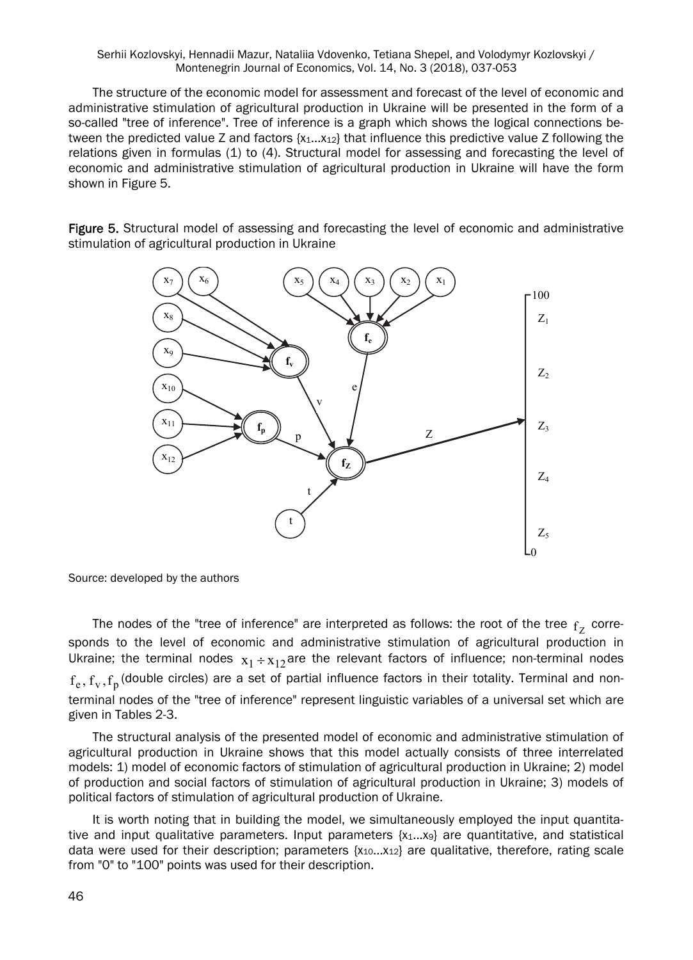The structure of the economic model for assessment and forecast of the level of economic and administrative stimulation of agricultural production in Ukraine will be presented in the form of a so-called "tree of inference". Tree of inference is a graph which shows the logical connections between the predicted value Z and factors  $\{x_1...x_{12}\}$  that influence this predictive value Z following the relations given in formulas (1) to (4). Structural model for assessing and forecasting the level of economic and administrative stimulation of agricultural production in Ukraine will have the form shown in Figure 5.

Figure 5. Structural model of assessing and forecasting the level of economic and administrative stimulation of agricultural production in Ukraine



Source: developed by the authors

The nodes of the "tree of inference" are interpreted as follows: the root of the tree  $f<sub>7</sub>$  corresponds to the level of economic and administrative stimulation of agricultural production in Ukraine; the terminal nodes  $x_1 \div x_{12}$  are the relevant factors of influence; non-terminal nodes  $f_e, f_v, f_n$  (double circles) are a set of partial influence factors in their totality. Terminal and nonterminal nodes of the "tree of inference" represent linguistic variables of a universal set which are given in Tables 2-3.

The structural analysis of the presented model of economic and administrative stimulation of agricultural production in Ukraine shows that this model actually consists of three interrelated models: 1) model of economic factors of stimulation of agricultural production in Ukraine; 2) model of production and social factors of stimulation of agricultural production in Ukraine; 3) models of political factors of stimulation of agricultural production of Ukraine.

It is worth noting that in building the model, we simultaneously employed the input quantitative and input qualitative parameters. Input parameters  $\{x_1...x_9\}$  are quantitative, and statistical data were used for their description; parameters {x10...x12} are qualitative, therefore, rating scale from "0" to "100" points was used for their description.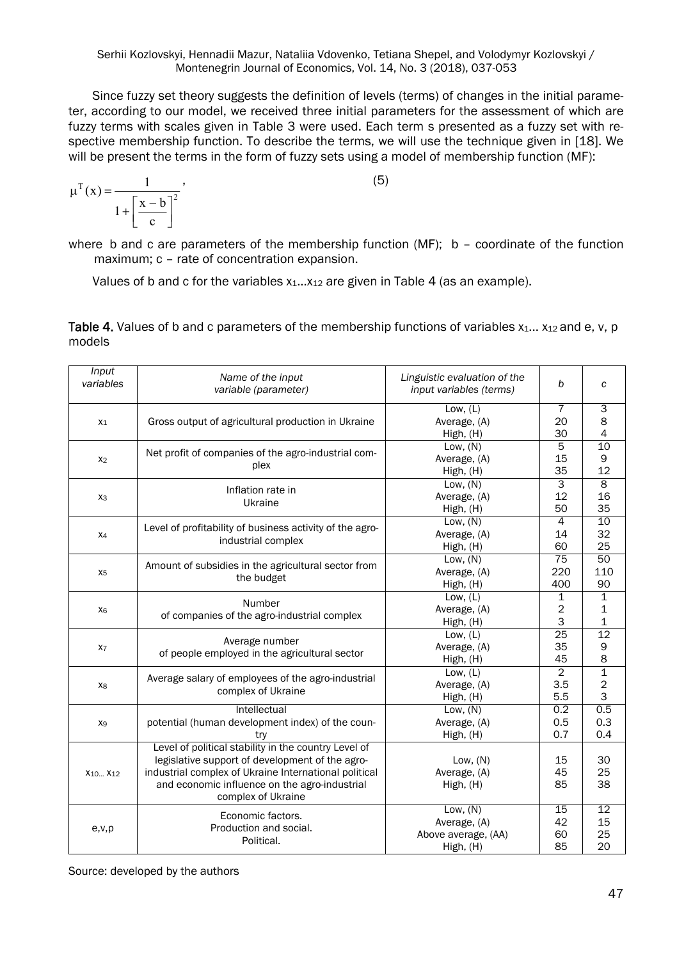Since fuzzy set theory suggests the definition of levels (terms) of changes in the initial parameter, according to our model, we received three initial parameters for the assessment of which are fuzzy terms with scales given in Table 3 were used. Each term s presented as a fuzzy set with respective membership function. To describe the terms, we will use the technique given in [18]. We will be present the terms in the form of fuzzy sets using a model of membership function (MF):

$$
\mu^{T}(x) = \frac{1}{1 + \left[\frac{x - b}{c}\right]^{2}},
$$
\n(5)

where b and c are parameters of the membership function (MF);  $b -$  coordinate of the function maximum; c – rate of concentration expansion.

Values of b and c for the variables  $x_1...x_{12}$  are given in Table 4 (as an example).

| Input<br>variables              | Name of the input<br>variable (parameter)                | Linguistic evaluation of the<br>input variables (terms) | b              | C               |
|---------------------------------|----------------------------------------------------------|---------------------------------------------------------|----------------|-----------------|
|                                 |                                                          | Low, $(L)$                                              | $\overline{7}$ | 3               |
| $X_1$                           | Gross output of agricultural production in Ukraine       | Average, (A)                                            | 20             | 8               |
|                                 |                                                          | High, (H)                                               | 30             | 4               |
|                                 | Net profit of companies of the agro-industrial com-      | Low. $(N)$                                              | 5              | 10              |
| X <sub>2</sub>                  | plex                                                     | Average, (A)                                            | 15             | 9               |
|                                 |                                                          | High, (H)                                               | 35             | 12              |
|                                 | Inflation rate in                                        | Low, $(N)$                                              | 3              | 8               |
| X <sub>3</sub>                  | Ukraine                                                  | Average, (A)                                            | 12             | 16              |
|                                 |                                                          | High, (H)                                               | 50             | 35              |
|                                 | Level of profitability of business activity of the agro- | Low, $(N)$                                              | $\overline{4}$ | 10              |
| $X_4$                           | industrial complex                                       | Average, (A)                                            | 14             | 32              |
|                                 |                                                          | High, (H)                                               | 60             | 25              |
|                                 | Amount of subsidies in the agricultural sector from      | Low, $(N)$                                              | 75             | 50              |
| X <sub>5</sub>                  | the budget                                               | Average, (A)                                            | 220            | 110             |
|                                 |                                                          | High, (H)                                               | 400            | 90              |
|                                 | Number                                                   | Low, $(L)$                                              | $\mathbf{1}$   | 1               |
| X <sub>6</sub>                  | of companies of the agro-industrial complex              | Average, (A)                                            | $\overline{c}$ | 1               |
|                                 |                                                          | High, (H)                                               | 3              | 1               |
|                                 | Average number                                           | Low, $(L)$                                              | 25             | $\overline{12}$ |
| X <sub>7</sub>                  | of people employed in the agricultural sector            | Average, (A)                                            | 35             | 9               |
|                                 |                                                          | High, (H)                                               | 45             | 8               |
|                                 | Average salary of employees of the agro-industrial       | Low, $(L)$                                              | $\overline{2}$ | 1               |
| X8                              | complex of Ukraine                                       | Average, (A)                                            | 3.5            | $\overline{c}$  |
|                                 |                                                          | High, (H)                                               | 5.5            | 3               |
|                                 | Intellectual                                             | Low, $(N)$                                              | 0.2            | 0.5             |
| X <sub>9</sub>                  | potential (human development index) of the coun-         | Average, (A)                                            | 0.5            | 0.3             |
|                                 | try                                                      | High, (H)                                               | 0.7            | 0.4             |
|                                 | Level of political stability in the country Level of     |                                                         |                |                 |
|                                 | legislative support of development of the agro-          | Low. $(N)$                                              | 15             | 30              |
| X <sub>10</sub> X <sub>12</sub> | industrial complex of Ukraine International political    | Average, (A)                                            | 45             | 25              |
|                                 | and economic influence on the agro-industrial            | High, (H)                                               | 85             | 38              |
|                                 | complex of Ukraine                                       |                                                         |                |                 |
|                                 | Economic factors.                                        | Low, $(N)$                                              | 15             | 12              |
| e, v, p                         | Production and social.                                   | Average, (A)                                            | 42             | 15              |
|                                 | Political.                                               | Above average, (AA)                                     | 60             | 25              |
|                                 |                                                          | High, (H)                                               | 85             | 20              |

Table 4. Values of b and c parameters of the membership functions of variables  $x_1... x_{12}$  and e, v, p models

Source: developed by the authors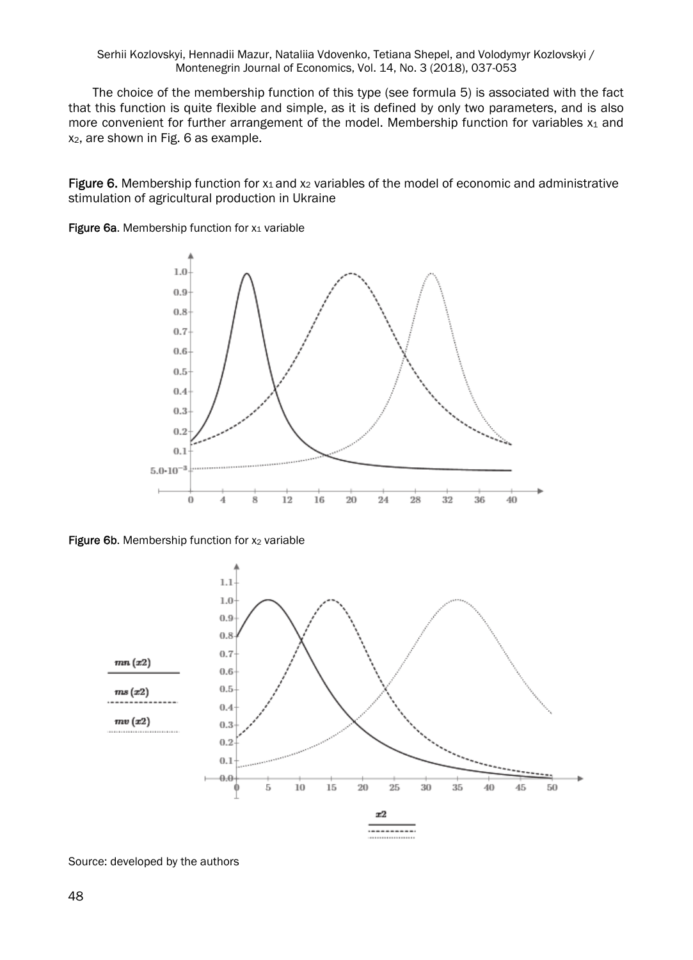The choice of the membership function of this type (see formula 5) is associated with the fact that this function is quite flexible and simple, as it is defined by only two parameters, and is also more convenient for further arrangement of the model. Membership function for variables  $x_1$  and x2, are shown in Fig. 6 as example.

Figure 6. Membership function for  $x_1$  and  $x_2$  variables of the model of economic and administrative stimulation of agricultural production in Ukraine









Source: developed by the authors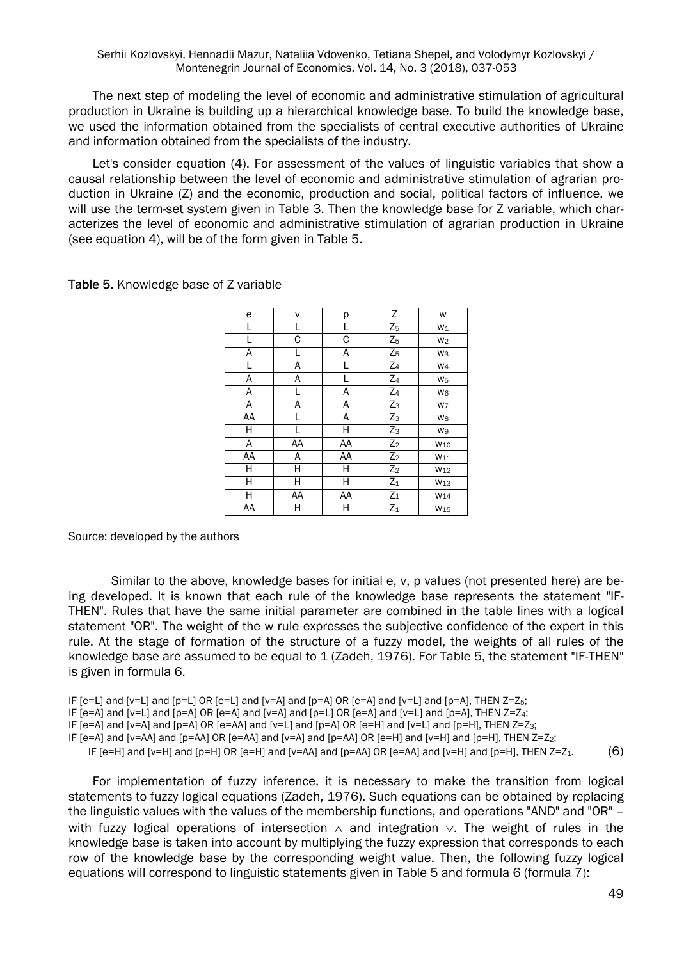The next step of modeling the level of economic and administrative stimulation of agricultural production in Ukraine is building up a hierarchical knowledge base. To build the knowledge base, we used the information obtained from the specialists of central executive authorities of Ukraine and information obtained from the specialists of the industry.

Let's consider equation (4). For assessment of the values of linguistic variables that show a causal relationship between the level of economic and administrative stimulation of agrarian production in Ukraine (Z) and the economic, production and social, political factors of influence, we will use the term-set system given in Table 3. Then the knowledge base for Z variable, which characterizes the level of economic and administrative stimulation of agrarian production in Ukraine (see equation 4), will be of the form given in Table 5.

| e  | v  | р  | $\overline{Z}$ | W               |
|----|----|----|----------------|-----------------|
| L  |    | L  | $Z_5$          | $W_1$           |
| L  | С  | С  | $Z_5$          | W <sub>2</sub>  |
| A  | L  | A  | $Z_5$          | Wз              |
| L  | Α  |    | $Z_4$          | W <sub>4</sub>  |
| Α  | Α  |    | $Z_4$          | W <sub>5</sub>  |
| A  | L  | Α  | $Z_4$          | W <sub>6</sub>  |
| Α  | Α  | Α  | $Z_3$          | W7              |
| AA | L  | Α  | $Z_3$          | W <sub>8</sub>  |
| H  | L  | Η  | $Z_3$          | W9              |
| Α  | AA | AA | $Z_2$          | W <sub>10</sub> |
| AA | Α  | AA | $Z_2$          | $W_{11}$        |
| Η  | н  | Η  | $Z_2$          | W <sub>12</sub> |
| Н  | Н  | Η  | $Z_1$          | W <sub>13</sub> |
| Η  | AA | AA | $Z_1$          | W <sub>14</sub> |
| AA | Н  | Η  | $Z_1$          | W <sub>15</sub> |

Table 5. Knowledge base of Z variable

Source: developed by the authors

Similar to the above, knowledge bases for initial e, v, p values (not presented here) are being developed. It is known that each rule of the knowledge base represents the statement "IF-THEN". Rules that have the same initial parameter are combined in the table lines with a logical statement "OR". The weight of the w rule expresses the subjective confidence of the expert in this rule. At the stage of formation of the structure of a fuzzy model, the weights of all rules of the knowledge base are assumed to be equal to 1 (Zadeh, 1976). For Table 5, the statement "IF-THEN" is given in formula 6.

IF  $[e=L]$  and  $[v=L]$  and  $[p=L]$  OR  $[e=L]$  and  $[v=A]$  and  $[p=A]$  OR  $[e=A]$  and  $[v=L]$  and  $[p=A]$ , THEN  $Z=Z_5$ ;

IF  $[e=A]$  and  $[v=L]$  and  $[p=A]$  OR  $[e=A]$  and  $[v=A]$  and  $[p=L]$  OR  $[e=A]$  and  $[v=L]$  and  $[p=A]$ , THEN  $Z=Z_4$ ;

IF  $[e=A]$  and  $[v=A]$  and  $[p=A]$  OR  $[e=AA]$  and  $[v=L]$  and  $[p=A]$  OR  $[e=H]$  and  $[v=L]$  and  $[p=H]$ , THEN  $Z=Z_3$ ;

IF [e=A] and [v=AA] and [p=AA] OR [e=AA] and [v=A] and [p=AA] OR [e=H] and [v=H] and [p=H], THEN Z=Z2;

IF  $[eeH]$  and  $[v=H]$  and  $[p=H]$  OR  $[eeH]$  and  $[v=AA]$  and  $[p=AA]$  OR  $[e=AA]$  and  $[v=H]$  and  $[p=H]$ . THEN  $Z=Z_1$ . (6)

For implementation of fuzzy inference, it is necessary to make the transition from logical statements to fuzzy logical equations (Zadeh, 1976). Such equations can be obtained by replacing the linguistic values with the values of the membership functions, and operations "AND" and "OR" – with fuzzy logical operations of intersection  $\wedge$  and integration  $\vee$ . The weight of rules in the knowledge base is taken into account by multiplying the fuzzy expression that corresponds to each row of the knowledge base by the corresponding weight value. Then, the following fuzzy logical equations will correspond to linguistic statements given in Table 5 and formula 6 (formula 7):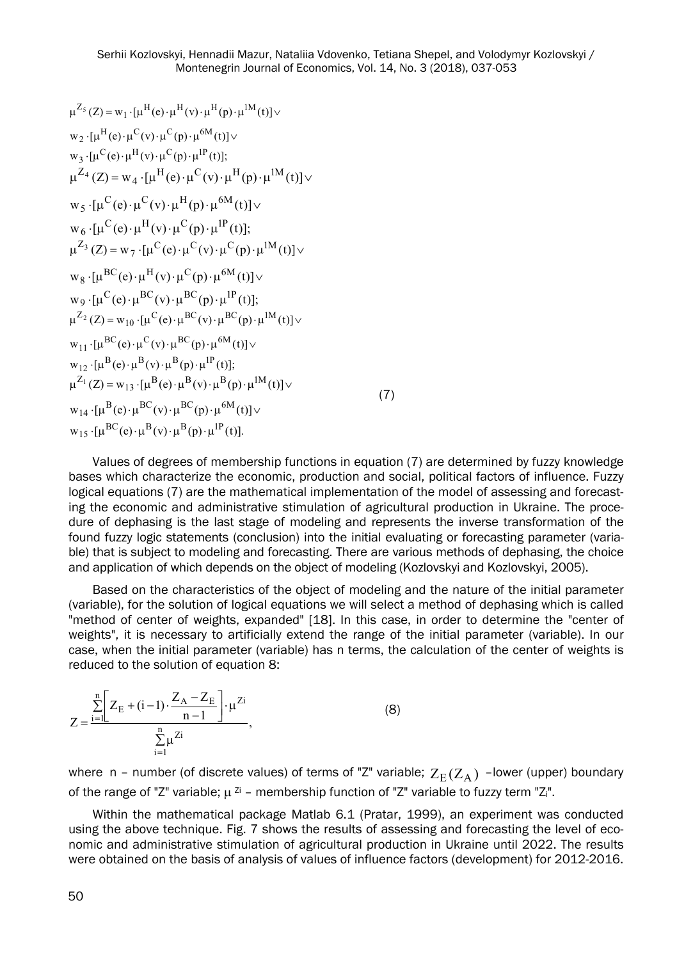$$
\mu^{Z_{5}}(Z) = w_{1} \cdot [\mu^{H}(e) \cdot \mu^{H}(v) \cdot \mu^{H}(p) \cdot \mu^{M}(t)] \vee
$$
\n
$$
w_{2} \cdot [\mu^{H}(e) \cdot \mu^{C}(v) \cdot \mu^{C}(p) \cdot \mu^{6M}(t)] \vee
$$
\n
$$
w_{3} \cdot [\mu^{C}(e) \cdot \mu^{H}(v) \cdot \mu^{C}(p) \cdot \mu^{H}(t)];
$$
\n
$$
\mu^{Z_{4}}(Z) = w_{4} \cdot [\mu^{H}(e) \cdot \mu^{C}(v) \cdot \mu^{H}(p) \cdot \mu^{1M}(t)] \vee
$$
\n
$$
w_{5} \cdot [\mu^{C}(e) \cdot \mu^{C}(v) \cdot \mu^{H}(p) \cdot \mu^{6M}(t)] \vee
$$
\n
$$
w_{6} \cdot [\mu^{C}(e) \cdot \mu^{H}(v) \cdot \mu^{C}(p) \cdot \mu^{1P}(t)];
$$
\n
$$
\mu^{Z_{3}}(Z) = w_{7} \cdot [\mu^{C}(e) \cdot \mu^{C}(v) \cdot \mu^{C}(p) \cdot \mu^{1M}(t)] \vee
$$
\n
$$
w_{8} \cdot [\mu^{BC}(e) \cdot \mu^{H}(v) \cdot \mu^{C}(p) \cdot \mu^{6M}(t)] \vee
$$
\n
$$
w_{9} \cdot [\mu^{C}(e) \cdot \mu^{BC}(v) \cdot \mu^{BC}(p) \cdot \mu^{1P}(t)];
$$
\n
$$
\mu^{Z_{2}}(Z) = w_{10} \cdot [\mu^{C}(e) \cdot \mu^{BC}(v) \cdot \mu^{BC}(p) \cdot \mu^{1M}(t)] \vee
$$
\n
$$
w_{11} \cdot [\mu^{BC}(e) \cdot \mu^{C}(v) \cdot \mu^{BC}(p) \cdot \mu^{6M}(t)] \vee
$$
\n
$$
w_{12} \cdot [\mu^{B}(e) \cdot \mu^{B}(v) \cdot \mu^{B}(p) \cdot \mu^{1P}(t)];
$$
\n
$$
\mu^{Z_{1}}(Z) = w_{13} \cdot [\mu^{B}(e) \cdot \mu^{B}(v) \cdot \mu^{B}(p) \cdot \mu^{1M}(t)] \vee
$$
\n
$$
w_{14} \cdot [\mu^{B}(e) \cdot \
$$

Values of degrees of membership functions in equation (7) are determined by fuzzy knowledge bases which characterize the economic, production and social, political factors of influence. Fuzzy logical equations (7) are the mathematical implementation of the model of assessing and forecasting the economic and administrative stimulation of agricultural production in Ukraine. The procedure of dephasing is the last stage of modeling and represents the inverse transformation of the found fuzzy logic statements (conclusion) into the initial evaluating or forecasting parameter (variable) that is subject to modeling and forecasting. There are various methods of dephasing, the choice and application of which depends on the object of modeling (Kozlovskyi and Kozlovskyi, 2005).

(7)

Based on the characteristics of the object of modeling and the nature of the initial parameter (variable), for the solution of logical equations we will select a method of dephasing which is called "method of center of weights, expanded" [18]. In this case, in order to determine the "center of weights", it is necessary to artificially extend the range of the initial parameter (variable). In our case, when the initial parameter (variable) has n terms, the calculation of the center of weights is reduced to the solution of equation 8:

$$
Z = \frac{\sum_{i=1}^{n} \left[ Z_{E} + (i-1) \cdot \frac{Z_{A} - Z_{E}}{n-1} \right] \cdot \mu^{Zi}}{\sum_{i=1}^{n} \mu^{Zi}},
$$
(8)

where n – number (of discrete values) of terms of "Z" variable;  $Z_E(Z_A)$  –lower (upper) boundary of the range of "Z" variable;  $\mu^{zi}$  – membership function of "Z" variable to fuzzy term "Zi".

Within the mathematical package Мatlab 6.1 (Pratar, 1999), an experiment was conducted using the above technique. Fig. 7 shows the results of assessing and forecasting the level of economic and administrative stimulation of agricultural production in Ukraine until 2022. The results were obtained on the basis of analysis of values of influence factors (development) for 2012-2016.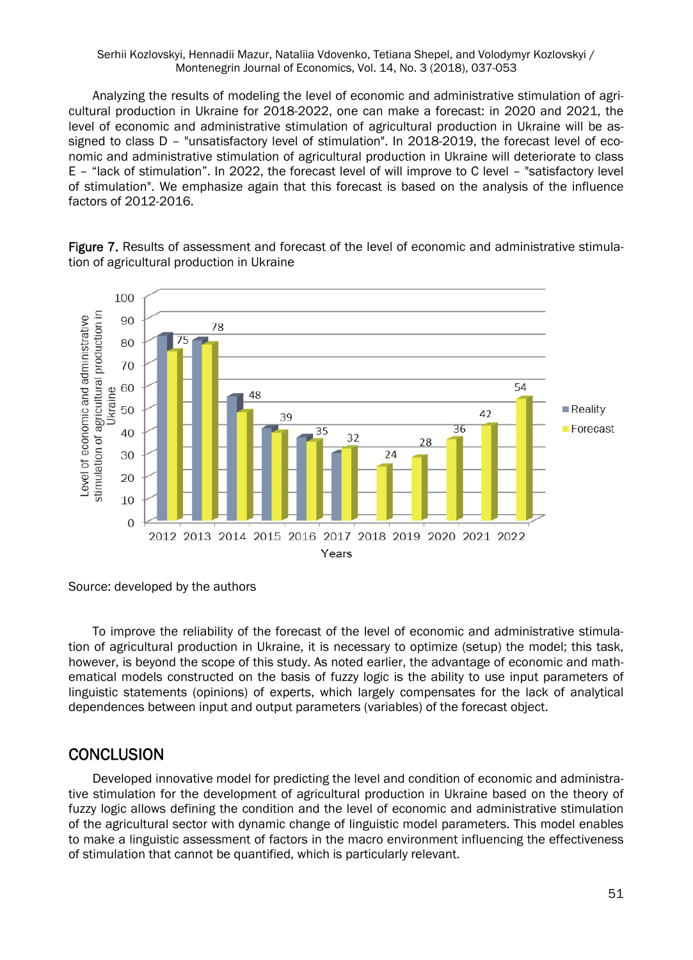Analyzing the results of modeling the level of economic and administrative stimulation of agricultural production in Ukraine for 2018-2022, one can make a forecast: in 2020 and 2021, the level of economic and administrative stimulation of agricultural production in Ukraine will be assigned to class D – "unsatisfactory level of stimulation". In 2018-2019, the forecast level of economic and administrative stimulation of agricultural production in Ukraine will deteriorate to class E – "lack of stimulation". In 2022, the forecast level of will improve to C level – "satisfactory level of stimulation". We emphasize again that this forecast is based on the analysis of the influence factors of 2012-2016.



Figure 7. Results of assessment and forecast of the level of economic and administrative stimulation of agricultural production in Ukraine

To improve the reliability of the forecast of the level of economic and administrative stimulation of agricultural production in Ukraine, it is necessary to optimize (setup) the model; this task, however, is beyond the scope of this study. As noted earlier, the advantage of economic and mathematical models constructed on the basis of fuzzy logic is the ability to use input parameters of linguistic statements (opinions) of experts, which largely compensates for the lack of analytical dependences between input and output parameters (variables) of the forecast object.

### **CONCLUSION**

Developed innovative model for predicting the level and condition of economic and administrative stimulation for the development of agricultural production in Ukraine based on the theory of fuzzy logic allows defining the condition and the level of economic and administrative stimulation of the agricultural sector with dynamic change of linguistic model parameters. This model enables to make a linguistic assessment of factors in the macro environment influencing the effectiveness of stimulation that cannot be quantified, which is particularly relevant.

Source: developed by the authors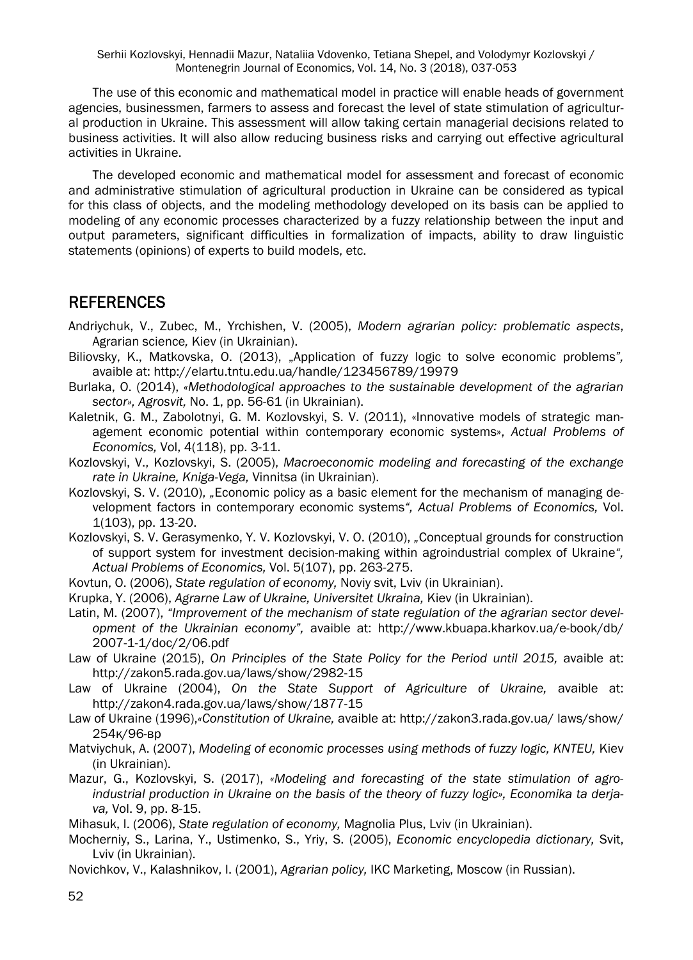The use of this economic and mathematical model in practice will enable heads of government agencies, businessmen, farmers to assess and forecast the level of state stimulation of agricultural production in Ukraine. This assessment will allow taking certain managerial decisions related to business activities. It will also allow reducing business risks and carrying out effective agricultural activities in Ukraine.

The developed economic and mathematical model for assessment and forecast of economic and administrative stimulation of agricultural production in Ukraine can be considered as typical for this class of objects, and the modeling methodology developed on its basis can be applied to modeling of any economic processes characterized by a fuzzy relationship between the input and output parameters, significant difficulties in formalization of impacts, ability to draw linguistic statements (opinions) of experts to build models, etc.

## REFERENCES

- Andriychuk, V., Zubec, M., Yrchishen, V. (2005), *Modern agrarian policy: problematic aspects*, Agrarian science*,* Kiev (in Ukrainian).
- Biliovsky, K., Matkovska, O. (2013), "Application of fuzzy logic to solve economic problems*",* avaible at: http://elartu.tntu.edu.ua/handle/123456789/19979
- Burlaka, O. (2014), *«Methodological approaches to the sustainable development of the agrarian*  sector», Agrosvit, No. 1, pp. 56-61 (in Ukrainian).
- Kaletnik, G. M., Zabolotnyi, G. M. Kozlovskyi, S. V. (2011), «Innovative models of strategic management economic potential within contemporary economic systems», *Actual Problems of Economics,* Vol, 4(118), pp. 3-11.
- Kozlovskyi, V., Kozlovskyi, S. (2005), *Macroeconomic modeling and forecasting of the exchange rate in Ukraine, Kniga-Vega,* Vinnitsa (in Ukrainian).
- Kozlovskyi, S. V. (2010), *"*Economic policy as a basic element for the mechanism of managing development factors in contemporary economic systems*", Actual Problems of Economics,* Vol. 1(103), pp. 13-20.
- Kozlovskyi, S. V. Gerasymenko, Y. V. Kozlovskyi, V. O. (2010), *"*Conceptual grounds for construction of support system for investment decision-making within agroindustrial complex of Ukraine*", Actual Problems of Economics,* Vol. 5(107), pp. 263-275.
- Kovtun, O. (2006), *State regulation of economy,* Noviy svit, Lviv (in Ukrainian).
- Krupka, Y. (2006), *Agrarne Law of Ukraine, Universitet Ukraina,* Kiev (in Ukrainian).
- Latin, M. (2007), *"Improvement of the mechanism of state regulation of the agrarian sector development of the Ukrainian economy",* avaible at: http://www.kbuapa.kharkov.ua/e-book/db/ 2007-1-1/doc/2/06.pdf
- Law of Ukraine (2015), *On Principles of the State Policy for the Period until 2015,* avaible at: http://zakon5.rada.gov.ua/laws/show/2982-15
- Law of Ukraine (2004), *On the State Support of Agriculture of Ukraine,* avaible at: http://zakon4.rada.gov.ua/laws/show/1877-15
- Law of Ukraine (1996),*«Constitution of Ukraine,* avaible at: http://zakon3.rada.gov.ua/ laws/show/ 254к/96-вр
- Matviychuk, A. (2007), *Modeling of economic processes using methods of fuzzy logic, KNTEU,* Kiev (in Ukrainian).
- Mazur, G., Kozlovskyi, S. (2017), *«Modeling and forecasting of the state stimulation of agroindustrial production in Ukraine on the basis of the theory of fuzzy logic», Economika ta derjava,* Vol. 9, pp. 8-15.
- Mihasuk, I. (2006), *State regulation of economy,* Magnolia Plus, Lviv (in Ukrainian).
- Mocherniy, S., Larina, Y., Ustimenko, S., Yriy, S. (2005), *Economic encyclopedia dictionary,* Svit, Lviv (in Ukrainian).
- Novichkov, V., Kalashnikov, I. (2001), *Agrarian policy,* IKC Marketing, Moscow (in Russian).